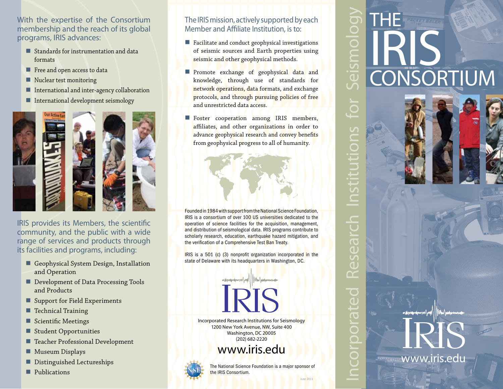With the expertise of the Consortium membership and the reach of its global programs, IRIS advances:

- Standards for instrumentation and data formats
- Free and open access to data
- Nuclear test monitoring
- International and inter-agency collaboration
- **International development seismology**



IRIS provides its Members, the scientific community, and the public with a wide range of services and products through its facilities and programs, including:

- Geophysical System Design, Installation and Operation
- Development of Data Processing Tools and Products
- Support for Field Experiments
- Technical Training
- Scientific Meetings
- **Student Opportunities**
- **Teacher Professional Development**
- **Museum Displays**
- Distinguished Lectureships
- **Publications**

## The IRIS mission, actively supported by each Member and Affiliate Institution, is to:

- **Facilitate** and conduct geophysical investigations of seismic sources and Earth properties using seismic and other geophysical methods.
- Promote exchange of geophysical data and knowledge, through use of standards for network operations, data formats, and exchange protocols, and through pursuing policies of free and unrestricted data access.
- Foster cooperation among IRIS members, affiliates, and other organizations in order to advance geophysical research and convey benefits from geophysical progress to all of humanity.

Founded in 1984 with support from the National Science Foundation, IRIS is a consortium of over 100 US universities dedicated to the operation of science facilities for the acquisition, management, and distribution of seismological data. IRIS programs contribute to scholarly research, education, earthquake hazard mitigation, and the verification of a Comprehensive Test Ban Treaty.

IRIS is a 501 (c) (3) nonprofit organization incorporated in the state of Delaware with its headquarters in Washington, DC.

Incorporated Research Institutions for Seismology 1200 New York Avenue, NW, Suite 400 Washington, DC 20005 (202) 682-2220

www.iris.edu



The National Science Foundation is a major sponsor of the IRIS Consortium.

June 2011

Incorporated Research Institutions for Seismology **nstituti** esear  $\bar{\mathbf{C}}$  $\overline{C}$ DIGIN  $\overline{\bigcirc}$ 

the

IRIS

**CONSORTIUM** 

www.iris.edu

maynouprobem very possibly